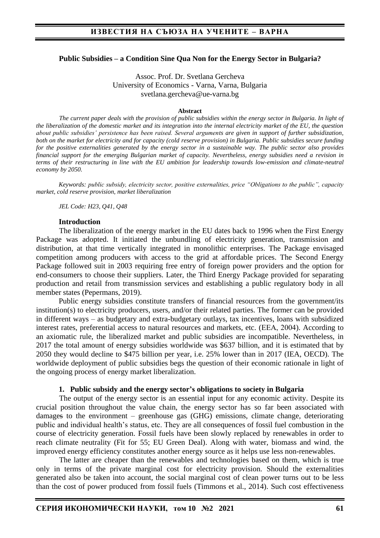## **Public Subsidies – a Condition Sine Qua Non for the Energy Sector in Bulgaria?**

Assoc. Prof. Dr. Svetlana Gercheva University of Economics - Varna, Varna, Bulgaria svetlana.gercheva@ue-varna.bg

#### **Abstract**

*The current paper deals with the provision of public subsidies within the energy sector in Bulgaria. In light of the liberalization of the domestic market and its integration into the internal electricity market of the EU, the question about public subsidies' persistence has been raised. Several arguments are given in support of further subsidization, both on the market for electricity and for capacity (cold reserve provision) in Bulgaria. Public subsidies secure funding for the positive externalities generated by the energy sector in a sustainable way. The public sector also provides financial support for the emerging Bulgarian market of capacity. Nevertheless, energy subsidies need a revision in terms of their restructuring in line with the EU ambition for leadership towards low-emission and climate-neutral economy by 2050.*

*Keywords: public subsidy, electricity sector, positive externalities, price "Obligations to the public", capacity market, cold reserve provision, market liberalization*

*JEL Code: H23, Q41, Q48*

## **Introduction**

The liberalization of the energy market in the EU dates back to 1996 when the First Energy Package was adopted. It initiated the unbundling of electricity generation, transmission and distribution, at that time vertically integrated in monolithic enterprises. The Package envisaged competition among producers with access to the grid at affordable prices. The Second Energy Package followed suit in 2003 requiring free entry of foreign power providers and the option for end-consumers to choose their suppliers. Later, the Third Energy Package provided for separating production and retail from transmission services and establishing a public regulatory body in all member states (Pepermans, 2019).

Public energy subsidies constitute transfers of financial resources from the government/its institution(s) to electricity producers, users, and/or their related parties. The former can be provided in different ways – as budgetary and extra-budgetary outlays, tax incentives, loans with subsidized interest rates, preferential access to natural resources and markets, etc. (ЕEA, 2004). According to an axiomatic rule, the liberalized market and public subsidies are incompatible. Nevertheless, in 2017 the total amount of energy subsidies worldwide was \$637 billion, and it is estimated that by 2050 they would decline to \$475 billion per year, i.e. 25% lower than in 2017 (IEA, OECD). The worldwide deployment of public subsidies begs the question of their economic rationale in light of the ongoing process of energy market liberalization.

## **1. Public subsidy and the energy sector's obligations to society in Bulgaria**

The output of the energy sector is an essential input for any economic activity. Despite its crucial position throughout the value chain, the energy sector has so far been associated with damages to the environment – greenhouse gas (GHG) emissions, climate change, deteriorating public and individual health's status, etc. They are all consequences of fossil fuel combustion in the course of electricity generation. Fossil fuels have been slowly replaced by renewables in order to reach climate neutrality (Fit for 55; EU Green Deal). Along with water, biomass and wind, the improved energy efficiency constitutes another energy source as it helps use less non-renewables.

The latter are cheaper than the renewables and technologies based on them, which is true only in terms of the private marginal cost for electricity provision. Should the externalities generated also be taken into account, the social marginal cost of clean power turns out to be less than the cost of power produced from fossil fuels (Timmons et al., 2014). Such cost effectiveness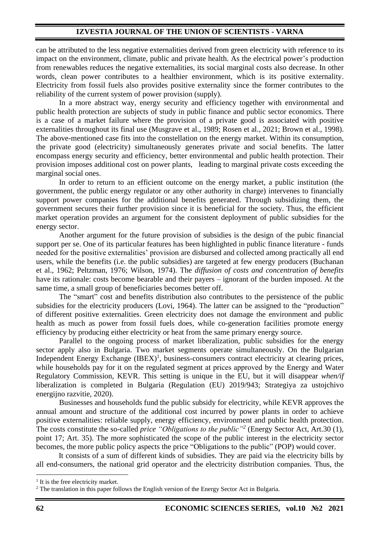can be attributed to the less negative externalities derived from green electricity with reference to its impact on the environment, climate, public and private health. As the electrical power's production from renewables reduces the negative externalities, its social marginal costs also decrease. In other words, clean power contributes to a healthier environment, which is its positive externality. Electricity from fossil fuels also provides positive externality since the former contributes to the reliability of the current system of power provision (supply).

In a more abstract way, energy security and efficiency together with environmental and public health protection are subjects of study in public finance and public sector economics. There is a case of a market failure where the provision of a private good is associated with positive externalities throughout its final use (Musgrave et al., 1989; Rosen et al., 2021; Brown et al., 1998). The above-mentioned case fits into the constellation on the energy market. Within its consumption, the private good (electricity) simultaneously generates private and social benefits. The latter encompass energy security and efficiency, better environmental and public health protection. Their provision imposes additional cost on power plants, leading to marginal private costs exceeding the marginal social ones.

In order to return to an efficient outcome on the energy market, a public institution (the government, the public energy regulator or any other authority in charge) intervenes to financially support power companies for the additional benefits generated. Through subsidizing them, the government secures their further provision since it is beneficial for the society. Thus, the efficient market operation provides an argument for the consistent deployment of public subsidies for the energy sector.

Another argument for the future provision of subsidies is the design of the pubic financial support per se. One of its particular features has been highlighted in public finance literature - funds needed for the positive externalities' provision are disbursed and collected among practically all end users, while the benefits (i.e. the public subsidies) are targeted at few energy producers (Buchanan et al., 1962; Peltzman, 1976; Wilson, 1974). The *diffusion of costs and concentration of benefits* have its rationale: costs become bearable and their payers – ignorant of the burden imposed. At the same time, a small group of beneficiaries becomes better off.

The "smart" cost and benefits distribution also contributes to the persistence of the public subsidies for the electricity producers (Lovi, 1964). The latter can be assigned to the "production" of different positive externalities. Green electricity does not damage the environment and public health as much as power from fossil fuels does, while co-generation facilities promote energy efficiency by producing either electricity or heat from the same primary energy source.

Parallel to the ongoing process of market liberalization, public subsidies for the energy sector apply also in Bulgaria. Two market segments operate simultaneously. On the Bulgarian Independent Energy Exchange (IBEX)<sup>1</sup>, business-consumers contract electricity at clearing prices, while households pay for it on the regulated segment at pricеs approved by the Energy and Water Regulatory Commission, KEVR. This setting is unique in the EU, but it will disappear *when/if* liberalization is completed in Bulgaria (Regulation (EU) 2019/943; Strategiya za ustojchivo energijno razvitie, 2020).

Businesses and households fund the public subsidy for electricity, while KEVR approves the annual amount and structure of the additional cost incurred by power plants in order to achieve positive externalities: reliable supply, energy efficiency, environment and public health protection. The costs constitute the so-called *price "Obligations to the public"<sup>2</sup>* (Energy Sector Act, Art.30 (1), рoint 17; Art. 35). The more sophisticated the scope of the public interest in the electricity sector becomes, the more public policy aspects the price "Obligations to the public" (POP) would cover.

It consists of a sum of different kinds of subsidies. They are paid via the electricity bills by all end-consumers, the national grid operator and the electricity distribution companies. Thus, the

<sup>&</sup>lt;sup>1</sup> It is the free electricity market.

<sup>&</sup>lt;sup>2</sup> The translation in this paper follows the English version of the Energy Sector Act in Bulgaria.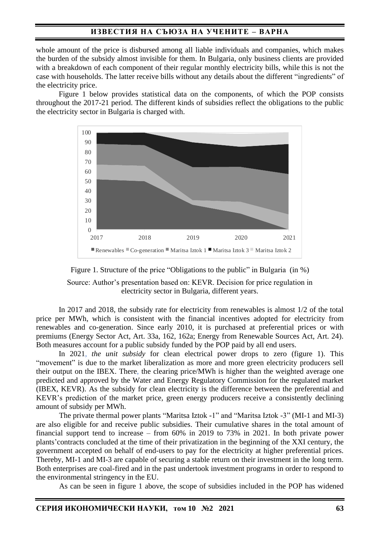# **ИЗВЕСТИЯ НА СЪЮЗА НА УЧЕНИТЕ – ВАРНА**

whole amount of the price is disbursed among all liable individuals and companies, which makes the burden of the subsidy almost invisible for them. In Bulgaria, only business clients are provided with a breakdown of each component of their regular monthly electricity bills, while this is not the case with households. The latter receive bills without any details about the different "ingredients" of the electricity price.

Figure 1 below provides statistical data on the components, of which the POP consists throughout the 2017-21 period. The different kinds of subsidies reflect the obligations to the public the electricity sector in Bulgaria is charged with.





Source: Author's presentation based on: KEVR. Decision for price regulation in electricity sector in Bulgaria, different years.

In 2017 and 2018, the subsidy rate for electricity from renewables is almost 1/2 of the total price per MWh, which is consistent with the financial incentives adopted for electricity from renewables and co-generation. Since early 2010, it is purchased at preferential prices or with premiums (Energy Sector Act, Art. 33a, 162, 162a; Energy from Renewable Sources Act, Art. 24). Both measures account for a public subsidy funded by the POP paid by all end users.

In 2021, *the unit subsidy* for clean electrical power drops to zero (figure 1). This "movement" is due to the market liberalization as more and more green electricity producers sell their output on the IBEX. There, the clearing price/MWh is higher than the weighted average one predicted and approved by the Water and Energy Regulatory Commission for the regulated market (IBEX, KEVR). As the subsidy for clean electricity is the difference between the preferential and KEVR's prediction of the market price, green energy producers receive a consistently declining amount of subsidy per MWh.

The private thermal power plants "Maritsa Iztok -1" and "Maritsa Iztok -3" (MI-1 and MI-3) are also eligible for and receive public subsidies. Their cumulative shares in the total amount of financial support tend to increase – from 60% in 2019 to 73% in 2021. In both private power plants'contracts concluded at the time of their privatization in the beginning of the XXI century, the government accepted on behalf of end-users to pay for the electricity at higher preferential prices. Thereby, MI-1 and MI-3 are capable of securing a stable return on their investment in the long term. Both enterprises are coal-fired and in the past undertook investment programs in order to respond to the environmental stringency in the EU.

As can be seen in figure 1 above, the scope of subsidies included in the POP has widened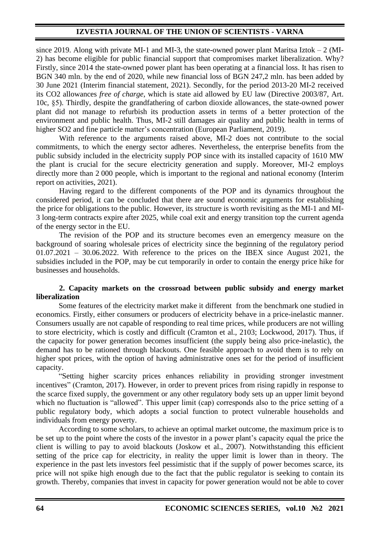since 2019. Along with private MI-1 and MI-3, the state-owned power plant Maritsa Iztok  $-2$  (MI-2) has become eligible for public financial support that compromises market liberalization. Why? Firstly, since 2014 the state-owned power plant has been operating at a financial loss. It has risen to BGN 340 mln. by the end of 2020, while new financial loss of BGN 247,2 mln. has been added by 30 June 2021 (Interim financial statement, 2021). Secondly, for the period 2013-20 MI-2 received its CO2 allowances *free of charge*, which is state aid allowed by EU law (Directive 2003/87, Art. 10c, §5). Thirdly, despite the grandfathering of carbon dioxide allowances, the state-owned power plant did not manage to refurbish its production assets in terms of a better protection of the environment and public health. Thus, MI-2 still damages air quality and public health in terms of higher SO2 and fine particle matter's concentration (European Parliament, 2019).

With reference to the arguments raised above, MI-2 does not contribute to the social commitments, to which the energy sector adheres. Nevertheless, the enterprise benefits from the public subsidy included in the electricity supply POP since with its installed capacity of 1610 MW the plant is crucial for the secure electricity generation and supply. Moreover, MI-2 employs directly more than 2 000 people, which is important to the regional and national economy (Interim report on activities, 2021).

Having regard to the different components of the POP and its dynamics throughout the considered period, it can be concluded that there are sound economic arguments for establishing the price for obligations to the public. However, its structure is worth revisiting as the MI-1 and MI-3 long-term contracts expire after 2025, while coal exit and energy transition top the current agenda of the energy sector in the EU.

The revision of the POP and its structure becomes even an emergency measure on the background of soaring wholesale prices of electricity since the beginning of the regulatory period  $01.07.2021 - 30.06.2022$ . With reference to the prices on the IBEX since August 2021, the subsidies included in the POP, may be cut temporarily in order to contain the energy price hike for businesses and households.

## **2. Capacity markets on the crossroad between public subsidy and energy market liberalization**

Some features of the electricity market make it different from the benchmark one studied in economics. Firstly, either consumers or producers of electricity behave in a price-inelastic manner. Consumers usually are not capable of responding to real time prices, while producers are not willing to store electricity, which is costly and difficult (Cramton et al., 2103; Lockwood, 2017). Thus, if the capacity for power generation becomes insufficient (the supply being also price-inelastic), the demand has to be rationed through blackouts. One feasible approach to avoid them is to rely on higher spot prices, with the option of having administrative ones set for the period of insufficient capacity.

"Setting higher scarcity prices enhances reliability in providing stronger investment incentives" (Cramton, 2017). However, in order to prevent prices from rising rapidly in response to the scarce fixed supply, the government or any other regulatory body sets up an upper limit beyond which no fluctuation is "allowed". This upper limit (cap) corresponds also to the price setting of a public regulatory body, which adopts a social function to protect vulnerable households and individuals from energy poverty.

According to some scholars, to achieve an optimal market outcome, the maximum price is to be set up to the point where the costs of the investor in a power plant's capacity equal the price the client is willing to pay to avoid blackouts (Joskow et al., 2007). Notwithstanding this efficient setting of the price cap for electricity, in reality the upper limit is lower than in theory. The experience in the past lets investors feel pessimistic that if the supply of power becomes scarce, its price will not spike high enough due to the fact that the public regulator is seeking to contain its growth. Thereby, companies that invest in capacity for power generation would not be able to cover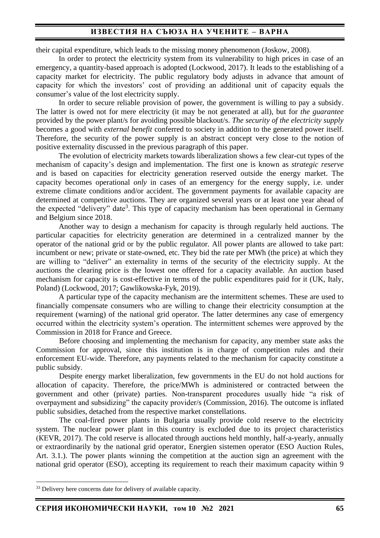# **ИЗВЕСТИЯ НА СЪЮЗА НА УЧЕНИТЕ – ВАРНА**

their capital expenditure, which leads to the missing money phenomenon (Joskow, 2008).

In order to protect the electricity system from its vulnerability to high prices in case of an emergency, a quantity-based approach is adopted (Lockwood, 2017). It leads to the establishing of a capacity market for electricity. The public regulatory body adjusts in advance that amount of capacity for which the investors' cost of providing an additional unit of capacity equals the consumer's value of the lost electricity supply.

In order to secure reliable provision of power, the government is willing to pay a subsidy. The latter is owed not for mere electricity (it may be not generated at all), but for *the guarantee* provided by the power plant/s for avoiding possible blackout/s. *The security of the electricity supply* becomes a good with *external benefit* conferred to society in addition to the generated power itself. Therefore, the security of the power supply is an abstract concept very close to the notion of positive externality discussed in the previous paragraph of this paper.

The evolution of electricity markets towards liberalization shows a few clear-cut types of the mechanism of capacity's design and implementation. The first one is known as *strategic reserve* and is based on capacities for electricity generation reserved outside the energy market. The capacity becomes operational *only* in cases of an emergency for the energy supply, i.e. under extreme climate conditions and/or accident. The government payments for available capacity are determined at competitive auctions. They are organized several years or at least one year ahead of the expected "delivery" date<sup>3</sup>. This type of capacity mechanism has been operational in Germany and Belgium since 2018.

Another way to design a mechanism for capacity is through regularly held auctions. The particular capacities for electricity generation are determined in a centralized manner by the operator of the national grid or by the public regulator. All power plants are allowed to take part: incumbent or new; private or state-owned, etc. They bid the rate per MWh (the price) at which they are willing to "deliver" an externality in terms of the security of the electricity supply. At the auctions the clearing price is the lowest one offered for a capacity available. An auction based mechanism for capacity is cost-effective in terms of the public expenditures paid for it (UK, Italy, Poland) (Lockwood, 2017; Gawlikowska-Fyk, 2019).

A particular type of the capacity mechanism are the intermittent schemes. These are used to financially compensate consumers who are willing to change their electricity consumption at the requirement (warning) of the national grid operator. The latter determines any case of emergency occurred within the electricity system's operation. The intermittent schemes were approved by the Commission in 2018 for France and Greece.

Before choosing and implementing the mechanism for capacity, any member state asks the Commission for approval, since this institution is in charge of competition rules and their enforcement EU-wide. Therefore, any payments related to the mechanism for capacity constitute a public subsidy.

Despite energy market liberalization, few governments in the EU do not hold auctions for allocation of capacity. Therefore, the price/MWh is administered or contracted between the government and other (private) parties. Non-transparent procedures usually hide "a risk of overpayment and subsidizing" the capacity provider/s (Commission, 2016). The outcome is inflated public subsidies, detached from the respective market constellations.

The coal-fired power plants in Bulgaria usually provide cold reserve to the electricity system. The nuclear power plant in this country is excluded due to its project characteristics (КЕVR, 2017). The cold reserve is allocated through auctions held monthly, half-a-yearly, annually or extraordinarily by the national grid operator, Energien sistemen operator (ESO Auction Rules, Art. 3.1.). The power plants winning the competition at the auction sign an agreement with the national grid operator (ESO), accepting its requirement to reach their maximum capacity within 9

<sup>&</sup>lt;sup>33</sup> Delivery here concerns date for delivery of available capacity.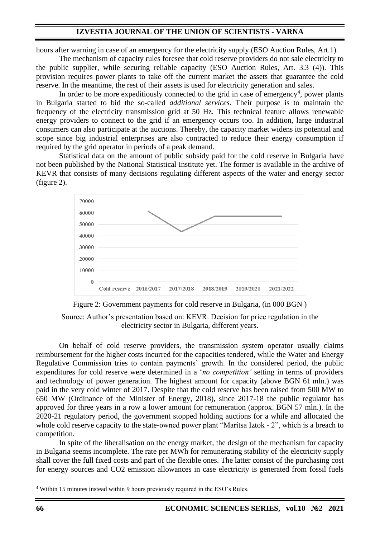hours after warning in case of an emergency for the electricity supply (ESO Auction Rules, Art.1).

The mechanism of capacity rules foresee that cold reserve providers do not sale electricity to the public supplier, while securing reliable capacity (ESO Auction Rules, Art. 3.3 (4)). This provision requires power plants to take off the current market the assets that guarantee the cold reserve. In the meantime, the rest of their assets is used for electricity generation and sales.

In order to be more expeditiously connected to the grid in case of emergency<sup>4</sup>, power plants in Bulgaria started to bid the so-called *additional services*. Their purpose is to maintain the frequency of the electricity transmission grid at 50 Hz. This technical feature allows renewable energy providers to connect to the grid if an emergency occurs too. In addition, large industrial consumers can also participate at the auctions. Thereby, the capacity market widens its potential and scope since big industrial enterprises are also contracted to reduce their energy consumption if required by the grid operator in periods of a peak demand.

Statistical data on the amount of public subsidy paid for the cold reserve in Bulgaria have not been published by the National Statistical Institute yet. The former is available in the archive of KEVR that consists of many decisions regulating different aspects of the water and energy sector (figure 2).





Source: Author's presentation based on: KEVR. Decision for price regulation in the electricity sector in Bulgaria, different years.

On behalf of cold reserve providers, the transmission system operator usually claims reimbursement for the higher costs incurred for the capacities tendered, while the Water and Energy Regulative Commission tries to contain payments' growth. In the considered period, the public expenditures for cold reserve were determined in a '*no competition'* setting in terms of providers and technology of power generation. The highest amount for capacity (above BGN 61 mln.) was paid in the very cold winter of 2017. Despite that the cold reserve has been raised from 500 MW to 650 MW (Ordinance of the Minister of Energy, 2018), since 2017-18 the public regulator has approved for three years in a row a lower amount for remuneration (approx. BGN 57 mln.). In the 2020-21 regulatory period, the government stopped holding auctions for a while and allocated the whole cold reserve capacity to the state-owned power plant "Maritsa Iztok - 2", which is a breach to competition.

In spite of the liberalisation on the energy market, the design of the mechanism for capacity in Bulgaria seems incomplete. The rate per MWh for remunerating stability of the electricity supply shall cover the full fixed costs and part of the flexible ones. The latter consist of the purchasing cost for energy sources and CO2 emission allowances in case electricity is generated from fossil fuels

<sup>4</sup> Within 15 minutes instead within 9 hours previously required in the ESO's Rules.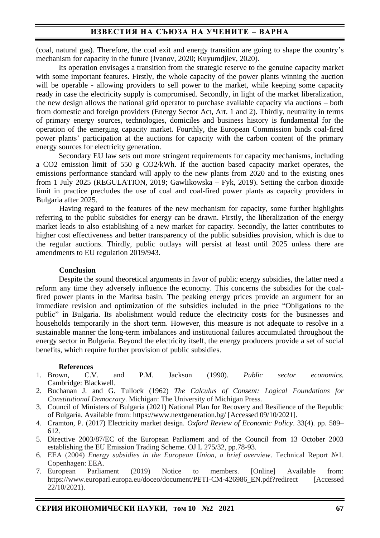# **ИЗВЕСТИЯ НА СЪЮЗА НА УЧЕНИТЕ – ВАРНА**

(coal, natural gas). Therefore, the coal exit and energy transition are going to shape the country's mechanism for capacity in the future (Ivanov, 2020; Kuyumdjiev, 2020).

Its operation envisages a transition from the strategic reserve to the genuine capacity market with some important features. Firstly, the whole capacity of the power plants winning the auction will be operable - allowing providers to sell power to the market, while keeping some capacity ready in case the electricity supply is compromised. Secondly, in light of the market liberalization, the new design allows the national grid operator to purchase available capacity via auctions – both from domestic and foreign providers (Energy Sector Act, Art. 1 and 2). Thirdly, neutrality in terms of primary energy sources, technologies, domiciles and business history is fundamental for the operation of the emerging capacity market. Fourthly, the European Commission binds coal-fired power plants' participation at the auctions for capacity with the carbon content of the primary energy sources for electricity generation.

Secondary EU law sets out more stringent requirements for capacity mechanisms, including a CO2 emission limit of 550 g CO2/kWh. If the auction based capacity market operates, the emissions performance standard will apply to the new plants from 2020 and to the existing ones from 1 July 2025 (REGULATION, 2019; Gawlikowska – Fyk, 2019). Setting the carbon dioxide limit in practice precludes the use of coal and coal-fired power plants as capacity providers in Bulgaria after 2025.

Having regard to the features of the new mechanism for capacity, some further highlights referring to the public subsidies for energy can be drawn. Firstly, the liberalization of the energy market leads to also establishing of a new market for capacity. Secondly, the latter contributes to higher cost effectiveness and better transparency of the public subsidies provision, which is due to the regular auctions. Thirdly, public outlays will persist at least until 2025 unless there are amendments to EU regulation 2019/943.

## **Conclusion**

Despite the sound theoretical arguments in favor of public energy subsidies, the latter need a reform any time they adversely influence the economy. This concerns the subsidies for the coalfired power plants in the Maritsa basin. The peaking energy prices provide an argument for an immediate revision and optimization of the subsidies included in the price "Obligations to the public" in Bulgaria. Its abolishment would reduce the electricity costs for the businesses and households temporarily in the short term. However, this measure is not adequate to resolve in a sustainable manner the long-term imbalances and institutional failures accumulated throughout the energy sector in Bulgaria. Beyond the electricity itself, the energy producers provide a set of social benefits, which require further provision of public subsidies.

### **References**

- 1. Brown, C.V. and P.M. Jackson (1990). *Public sector economics.* Cambridge: Blackwell.
- 2. Buchanan J. and G. Tullock (1962) *The Calculus of Consent: Logical Foundations for Constitutional Democracy*. Michigan: The University of Michigan Press.
- 3. Council of Ministers of Bulgaria (2021) National Plan for Recovery and Resilience of the Republic of Bulgaria. Available from: https://www.nextgeneration.bg/ [Accessed 09/10/2021].
- 4. Cramton, P. (2017) Electricity market design. *Oxford Review of Economic Policy*. 33(4). pp. 589– 612.
- 5. Directive 2003/87/EC of the European Parliament and of the Council from 13 October 2003 establishing the EU Emission Trading Scheme. OJ L 275/32, pp.78-93.
- 6. ЕEA (2004) *Energy subsidies in the European Union, a brief overview*. Technical Report №1. Copenhagen: EEA.
- 7. European Parliament (2019) Notice to members. [Online] Available from: https://www.europarl.europa.eu/doceo/document/PETI-CM-426986\_EN.pdf?redirect [Accessed 22/10/2021).